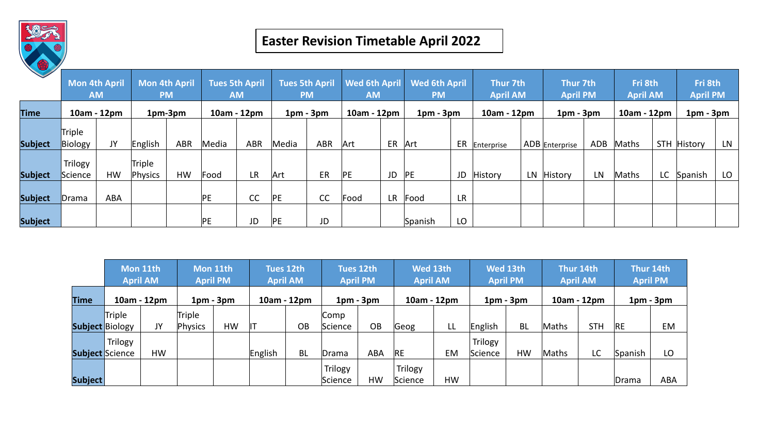

## **Easter Revision Timetable April 2022**

|                | <b>Mon 4th April</b><br><b>AM</b><br>10am - 12pm |           | Mon 4th April<br><b>PM</b><br>1pm-3pm |            | <b>Tues 5th April</b><br><b>AM</b><br>10am - 12pm |            | <b>Tues 5th April</b><br><b>PM</b><br>$1pm - 3pm$ |           | <b>Wed 6th April</b><br><b>AM</b><br>10am - 12pm |       | <b>Wed 6th April</b><br><b>PM</b><br>$1pm - 3pm$ |           | Thur 7th<br><b>April AM</b><br>10am - 12pm |     | <b>Thur 7th</b><br><b>April PM</b><br>$1pm - 3pm$ |     | Fri 8th<br><b>April AM</b><br>10am - 12pm |      | Fri 8th<br><b>April PM</b><br>$1pm - 3pm$ |     |
|----------------|--------------------------------------------------|-----------|---------------------------------------|------------|---------------------------------------------------|------------|---------------------------------------------------|-----------|--------------------------------------------------|-------|--------------------------------------------------|-----------|--------------------------------------------|-----|---------------------------------------------------|-----|-------------------------------------------|------|-------------------------------------------|-----|
| <b>Time</b>    |                                                  |           |                                       |            |                                                   |            |                                                   |           |                                                  |       |                                                  |           |                                            |     |                                                   |     |                                           |      |                                           |     |
| <b>Subject</b> | Triple<br>Biology                                | JY        | English                               | <b>ABR</b> | Media                                             | <b>ABR</b> | Media                                             | ABR       | Art                                              | ER    | Art                                              |           | ER Enterprise                              |     | ADB Enterprise                                    | ADB | Maths                                     |      | STH History                               | LN. |
| <b>Subject</b> | Trilogy<br>Science                               | <b>HW</b> | Triple<br>Physics                     | <b>HW</b>  | Food                                              | <b>LR</b>  | Art                                               | <b>ER</b> | PE                                               | JD PE |                                                  | JD        | History                                    | LN. | <b>History</b>                                    | LN  | Maths                                     | LC . | Spanish                                   | LO  |
| <b>Subject</b> | Drama                                            | ABA       |                                       |            | PE                                                | CC         | PE                                                | cc        | Food                                             | LR.   | Food                                             | <b>LR</b> |                                            |     |                                                   |     |                                           |      |                                           |     |
| <b>Subject</b> |                                                  |           |                                       |            | PE                                                | JD         | PE                                                | JD        |                                                  |       | Spanish                                          | LO        |                                            |     |                                                   |     |                                           |      |                                           |     |

|             | Mon 11th<br><b>April AM</b> |    | Mon 11th<br><b>April PM</b> |    | Tues 12th<br><b>April AM</b> |           | Tues 12th<br><b>April PM</b> |            | Wed 13th<br><b>April AM</b> |    | Wed 13th<br><b>April PM</b> |           | Thur 14th<br><b>April AM</b> |            | Thur 14th<br><b>April PM</b> |            |
|-------------|-----------------------------|----|-----------------------------|----|------------------------------|-----------|------------------------------|------------|-----------------------------|----|-----------------------------|-----------|------------------------------|------------|------------------------------|------------|
| <b>Time</b> | 10am - 12pm                 |    | $1pm - 3pm$                 |    | 10am - 12pm                  |           | $1pm - 3pm$                  |            | 10am - 12pm                 |    | $1pm - 3pm$                 |           | 10am - 12pm                  |            | $1pm - 3pm$                  |            |
|             | Triple                      |    | Triple                      |    |                              |           | Comp                         |            |                             |    |                             |           |                              |            |                              |            |
|             | <b>Subject Biology</b>      | JY | Physics                     | HW | ıт                           | OB        | Science                      | OB         | Geog                        | LL | English                     | <b>BL</b> | Maths                        | <b>STH</b> | <b>IRE</b>                   | EM         |
|             | Trilogy                     |    |                             |    |                              |           |                              |            |                             |    | Trilogy                     |           |                              |            |                              |            |
|             | <b>Subject Science</b>      | HW |                             |    | English                      | <b>BL</b> | Drama                        | <b>ABA</b> | <b>RE</b>                   | EM | Science                     | <b>HW</b> | Maths                        | LC         | Spanish                      | LO         |
|             |                             |    |                             |    |                              |           | Trilogy                      |            | Trilogy                     |    |                             |           |                              |            |                              |            |
| Subject     |                             |    |                             |    |                              |           | Science                      | <b>HW</b>  | Science                     | HW |                             |           |                              |            | Drama                        | <b>ABA</b> |